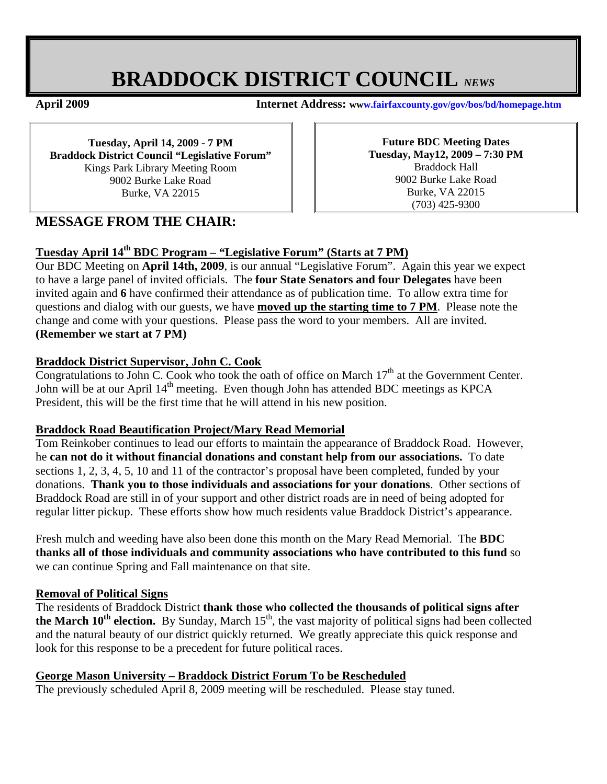# **BRADDOCK DISTRICT COUNCIL** *NEWS*

**April 2009 Internet Address: www.fairfaxcounty.gov/gov/bos/bd/homepage.htm**

**Tuesday, April 14, 2009 - 7 PM Braddock District Council "Legislative Forum"**  Kings Park Library Meeting Room 9002 Burke Lake Road Burke, VA 22015

**Future BDC Meeting Dates Tuesday, May12, 2009 – 7:30 PM**  Braddock Hall 9002 Burke Lake Road Burke, VA 22015 (703) 425-9300

# **MESSAGE FROM THE CHAIR:**

### **Tuesday April 14th BDC Program – "Legislative Forum" (Starts at 7 PM)**

Our BDC Meeting on **April 14th, 2009**, is our annual "Legislative Forum". Again this year we expect to have a large panel of invited officials. The **four State Senators and four Delegates** have been invited again and **6** have confirmed their attendance as of publication time. To allow extra time for questions and dialog with our guests, we have **moved up the starting time to 7 PM**. Please note the change and come with your questions. Please pass the word to your members. All are invited. **(Remember we start at 7 PM)** 

#### **Braddock District Supervisor, John C. Cook**

Congratulations to John C. Cook who took the oath of office on March  $17<sup>th</sup>$  at the Government Center. John will be at our April  $14<sup>th</sup>$  meeting. Even though John has attended BDC meetings as KPCA President, this will be the first time that he will attend in his new position.

#### **Braddock Road Beautification Project/Mary Read Memorial**

Tom Reinkober continues to lead our efforts to maintain the appearance of Braddock Road. However, he **can not do it without financial donations and constant help from our associations.** To date sections 1, 2, 3, 4, 5, 10 and 11 of the contractor's proposal have been completed, funded by your donations. **Thank you to those individuals and associations for your donations**. Other sections of Braddock Road are still in of your support and other district roads are in need of being adopted for regular litter pickup. These efforts show how much residents value Braddock District's appearance.

Fresh mulch and weeding have also been done this month on the Mary Read Memorial. The **BDC thanks all of those individuals and community associations who have contributed to this fund** so we can continue Spring and Fall maintenance on that site.

#### **Removal of Political Signs**

The residents of Braddock District **thank those who collected the thousands of political signs after**  the March 10<sup>th</sup> election. By Sunday, March 15<sup>th</sup>, the vast majority of political signs had been collected and the natural beauty of our district quickly returned. We greatly appreciate this quick response and look for this response to be a precedent for future political races.

#### **George Mason University – Braddock District Forum To be Rescheduled**

The previously scheduled April 8, 2009 meeting will be rescheduled. Please stay tuned.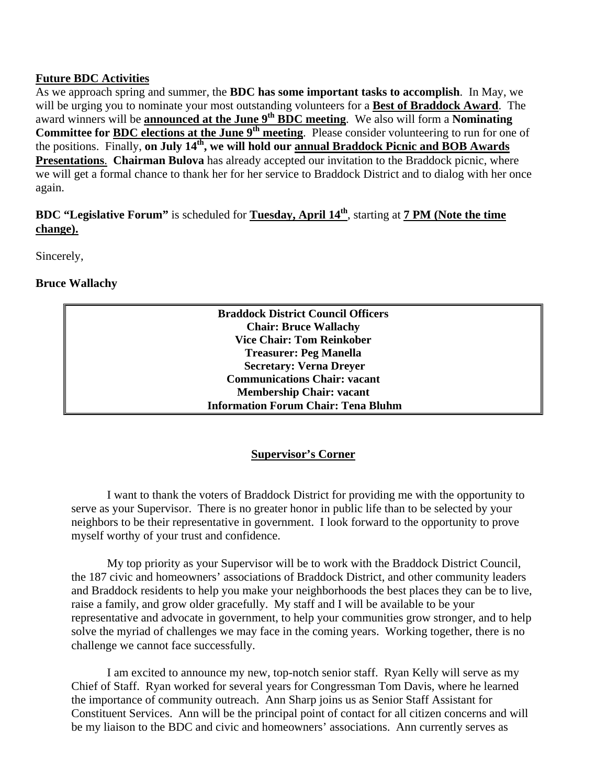#### **Future BDC Activities**

As we approach spring and summer, the **BDC has some important tasks to accomplish**. In May, we will be urging you to nominate your most outstanding volunteers for a **Best of Braddock Award**. The award winners will be **announced at the June 9<sup>th</sup> BDC meeting**. We also will form a **Nominating Committee for BDC elections at the June 9th meeting**. Please consider volunteering to run for one of the positions. Finally, on July 14<sup>th</sup>, we will hold our annual Braddock Picnic and BOB Awards **Presentations**. **Chairman Bulova** has already accepted our invitation to the Braddock picnic, where we will get a formal chance to thank her for her service to Braddock District and to dialog with her once again.

## **BDC "Legislative Forum"** is scheduled for **Tuesday, April 14th**, starting at **7 PM (Note the time change).**

Sincerely,

#### **Bruce Wallachy**

**Braddock District Council Officers Chair: Bruce Wallachy Vice Chair: Tom Reinkober Treasurer: Peg Manella Secretary: Verna Dreyer Communications Chair: vacant Membership Chair: vacant Information Forum Chair: Tena Bluhm**

#### **Supervisor's Corner**

I want to thank the voters of Braddock District for providing me with the opportunity to serve as your Supervisor. There is no greater honor in public life than to be selected by your neighbors to be their representative in government. I look forward to the opportunity to prove myself worthy of your trust and confidence.

 My top priority as your Supervisor will be to work with the Braddock District Council, the 187 civic and homeowners' associations of Braddock District, and other community leaders and Braddock residents to help you make your neighborhoods the best places they can be to live, raise a family, and grow older gracefully. My staff and I will be available to be your representative and advocate in government, to help your communities grow stronger, and to help solve the myriad of challenges we may face in the coming years. Working together, there is no challenge we cannot face successfully.

 I am excited to announce my new, top-notch senior staff. Ryan Kelly will serve as my Chief of Staff. Ryan worked for several years for Congressman Tom Davis, where he learned the importance of community outreach. Ann Sharp joins us as Senior Staff Assistant for Constituent Services. Ann will be the principal point of contact for all citizen concerns and will be my liaison to the BDC and civic and homeowners' associations. Ann currently serves as